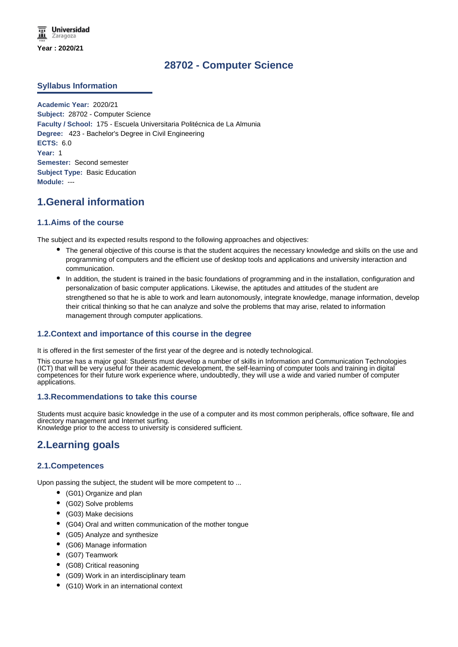# **28702 - Computer Science**

## **Syllabus Information**

**Academic Year:** 2020/21 **Subject:** 28702 - Computer Science **Faculty / School:** 175 - Escuela Universitaria Politécnica de La Almunia **Degree:** 423 - Bachelor's Degree in Civil Engineering **ECTS:** 6.0 **Year:** 1 **Semester:** Second semester **Subject Type:** Basic Education **Module:** ---

# **1.General information**

## **1.1.Aims of the course**

The subject and its expected results respond to the following approaches and objectives:

- The general objective of this course is that the student acquires the necessary knowledge and skills on the use and programming of computers and the efficient use of desktop tools and applications and university interaction and communication.
- In addition, the student is trained in the basic foundations of programming and in the installation, configuration and personalization of basic computer applications. Likewise, the aptitudes and attitudes of the student are strengthened so that he is able to work and learn autonomously, integrate knowledge, manage information, develop their critical thinking so that he can analyze and solve the problems that may arise, related to information management through computer applications.

# **1.2.Context and importance of this course in the degree**

It is offered in the first semester of the first year of the degree and is notedly technological.

This course has a major goal: Students must develop a number of skills in Information and Communication Technologies (ICT) that will be very useful for their academic development, the self-learning of computer tools and training in digital competences for their future work experience where, undoubtedly, they will use a wide and varied number of computer applications.

## **1.3.Recommendations to take this course**

Students must acquire basic knowledge in the use of a computer and its most common peripherals, office software, file and directory management and Internet surfing. Knowledge prior to the access to university is considered sufficient.

# **2.Learning goals**

## **2.1.Competences**

Upon passing the subject, the student will be more competent to ...

- (G01) Organize and plan
- (G02) Solve problems
- (G03) Make decisions
- (G04) Oral and written communication of the mother tongue
- (G05) Analyze and synthesize
- (G06) Manage information
- (G07) Teamwork
- (G08) Critical reasoning
- (G09) Work in an interdisciplinary team
- (G10) Work in an international context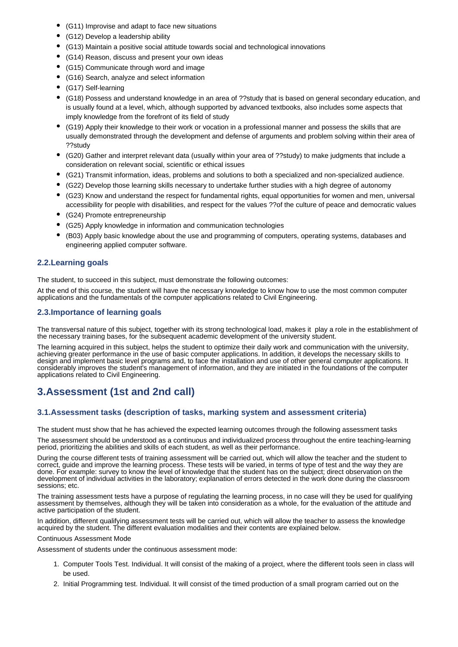- (G11) Improvise and adapt to face new situations
- (G12) Develop a leadership ability
- (G13) Maintain a positive social attitude towards social and technological innovations
- $\bullet$ (G14) Reason, discuss and present your own ideas
- (G15) Communicate through word and image
- (G16) Search, analyze and select information
- (G17) Self-learning
- (G18) Possess and understand knowledge in an area of ??study that is based on general secondary education, and is usually found at a level, which, although supported by advanced textbooks, also includes some aspects that imply knowledge from the forefront of its field of study
- (G19) Apply their knowledge to their work or vocation in a professional manner and possess the skills that are usually demonstrated through the development and defense of arguments and problem solving within their area of ??study
- (G20) Gather and interpret relevant data (usually within your area of ??study) to make judgments that include a consideration on relevant social, scientific or ethical issues
- (G21) Transmit information, ideas, problems and solutions to both a specialized and non-specialized audience.
- (G22) Develop those learning skills necessary to undertake further studies with a high degree of autonomy
- (G23) Know and understand the respect for fundamental rights, equal opportunities for women and men, universal accessibility for people with disabilities, and respect for the values ??of the culture of peace and democratic values
- (G24) Promote entrepreneurship
- (G25) Apply knowledge in information and communication technologies
- (B03) Apply basic knowledge about the use and programming of computers, operating systems, databases and engineering applied computer software.

## **2.2.Learning goals**

The student, to succeed in this subject, must demonstrate the following outcomes:

At the end of this course, the student will have the necessary knowledge to know how to use the most common computer applications and the fundamentals of the computer applications related to Civil Engineering.

## **2.3.Importance of learning goals**

The transversal nature of this subject, together with its strong technological load, makes it play a role in the establishment of the necessary training bases, for the subsequent academic development of the university student.

The learning acquired in this subject, helps the student to optimize their daily work and communication with the university, achieving greater performance in the use of basic computer applications. In addition, it develops the necessary skills to design and implement basic level programs and, to face the installation and use of other general computer applications. It considerably improves the student's management of information, and they are initiated in the foundations of the computer applications related to Civil Engineering.

# **3.Assessment (1st and 2nd call)**

## **3.1.Assessment tasks (description of tasks, marking system and assessment criteria)**

The student must show that he has achieved the expected learning outcomes through the following assessment tasks

The assessment should be understood as a continuous and individualized process throughout the entire teaching-learning period, prioritizing the abilities and skills of each student, as well as their performance.

During the course different tests of training assessment will be carried out, which will allow the teacher and the student to correct, guide and improve the learning process. These tests will be varied, in terms of type of test and the way they are done. For example: survey to know the level of knowledge that the student has on the subject; direct observation on the development of individual activities in the laboratory; explanation of errors detected in the work done during the classroom sessions; etc.

The training assessment tests have a purpose of regulating the learning process, in no case will they be used for qualifying assessment by themselves, although they will be taken into consideration as a whole, for the evaluation of the attitude and active participation of the student.

In addition, different qualifying assessment tests will be carried out, which will allow the teacher to assess the knowledge acquired by the student. The different evaluation modalities and their contents are explained below.

#### Continuous Assessment Mode

Assessment of students under the continuous assessment mode:

- 1. Computer Tools Test. Individual. It will consist of the making of a project, where the different tools seen in class will be used.
- 2. Initial Programming test. Individual. It will consist of the timed production of a small program carried out on the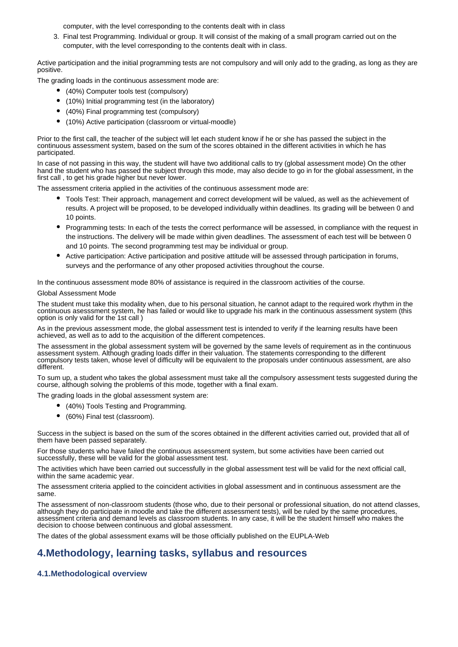computer, with the level corresponding to the contents dealt with in class

3. Final test Programming. Individual or group. It will consist of the making of a small program carried out on the computer, with the level corresponding to the contents dealt with in class.

Active participation and the initial programming tests are not compulsory and will only add to the grading, as long as they are positive.

The grading loads in the continuous assessment mode are:

- (40%) Computer tools test (compulsory)
- (10%) Initial programming test (in the laboratory)
- (40%) Final programming test (compulsory)
- (10%) Active participation (classroom or virtual-moodle)

Prior to the first call, the teacher of the subject will let each student know if he or she has passed the subject in the continuous assessment system, based on the sum of the scores obtained in the different activities in which he has participated.

In case of not passing in this way, the student will have two additional calls to try (global assessment mode) On the other hand the student who has passed the subject through this mode, may also decide to go in for the global assessment, in the first call , to get his grade higher but never lower.

The assessment criteria applied in the activities of the continuous assessment mode are:

- Tools Test: Their approach, management and correct development will be valued, as well as the achievement of results. A project will be proposed, to be developed individually within deadlines. Its grading will be between 0 and 10 points.
- Programming tests: In each of the tests the correct performance will be assessed, in compliance with the request in the instructions. The delivery will be made within given deadlines. The assessment of each test will be between 0 and 10 points. The second programming test may be individual or group.
- Active participation: Active participation and positive attitude will be assessed through participation in forums, surveys and the performance of any other proposed activities throughout the course.

In the continuous assessment mode 80% of assistance is required in the classroom activities of the course.

#### Global Assessment Mode

The student must take this modality when, due to his personal situation, he cannot adapt to the required work rhythm in the continuous asesssment system, he has failed or would like to upgrade his mark in the continuous assessment system (this option is only valid for the 1st call )

As in the previous assessment mode, the global assessment test is intended to verify if the learning results have been achieved, as well as to add to the acquisition of the different competences.

The assessment in the global assessment system will be governed by the same levels of requirement as in the continuous assessment system. Although grading loads differ in their valuation. The statements corresponding to the different compulsory tests taken, whose level of difficulty will be equivalent to the proposals under continuous assessment, are also different.

To sum up, a student who takes the global assessment must take all the compulsory assessment tests suggested during the course, although solving the problems of this mode, together with a final exam.

The grading loads in the global assessment system are:

- (40%) Tools Testing and Programming.
- (60%) Final test (classroom).

Success in the subject is based on the sum of the scores obtained in the different activities carried out, provided that all of them have been passed separately.

For those students who have failed the continuous assessment system, but some activities have been carried out successfully, these will be valid for the global assessment test.

The activities which have been carried out successfully in the global assessment test will be valid for the next official call, within the same academic year.

The assessment criteria applied to the coincident activities in global assessment and in continuous assessment are the same.

The assessment of non-classroom students (those who, due to their personal or professional situation, do not attend classes, although they do participate in moodle and take the different assessment tests), will be ruled by the same procedures, assessment criteria and demand levels as classroom students. In any case, it will be the student himself who makes the decision to choose between continuous and global assessment.

The dates of the global assessment exams will be those officially published on the EUPLA-Web

# **4.Methodology, learning tasks, syllabus and resources**

# **4.1.Methodological overview**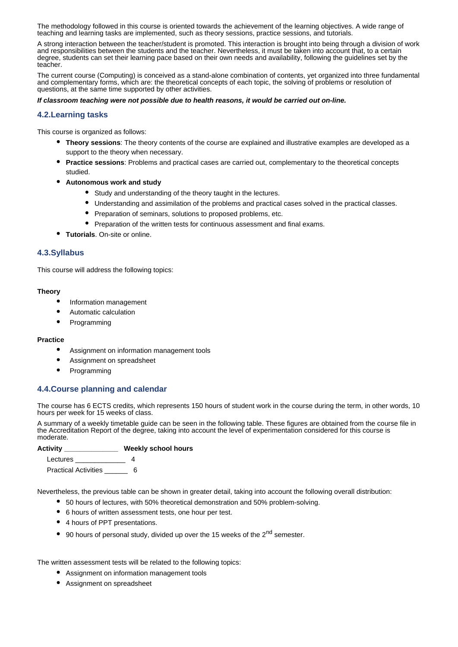The methodology followed in this course is oriented towards the achievement of the learning objectives. A wide range of teaching and learning tasks are implemented, such as theory sessions, practice sessions, and tutorials.

A strong interaction between the teacher/student is promoted. This interaction is brought into being through a division of work and responsibilities between the students and the teacher. Nevertheless, it must be taken into account that, to a certain degree, students can set their learning pace based on their own needs and availability, following the guidelines set by the teacher.

The current course (Computing) is conceived as a stand-alone combination of contents, yet organized into three fundamental and complementary forms, which are: the theoretical concepts of each topic, the solving of problems or resolution of questions, at the same time supported by other activities.

#### *If classroom teaching were not possible due to health reasons, it would be carried out on-line.*

### **4.2.Learning tasks**

This course is organized as follows:

- **Theory sessions**: The theory contents of the course are explained and illustrative examples are developed as a support to the theory when necessary.
- **Practice sessions**: Problems and practical cases are carried out, complementary to the theoretical concepts studied.
- **Autonomous work and study**
	- Study and understanding of the theory taught in the lectures.
	- Understanding and assimilation of the problems and practical cases solved in the practical classes.
	- Preparation of seminars, solutions to proposed problems, etc.
	- Preparation of the written tests for continuous assessment and final exams.
- **Tutorials**. On-site or online.

## **4.3.Syllabus**

This course will address the following topics:

#### **Theory**

- $\bullet$ Information management
- $\bullet$ Automatic calculation
- $\bullet$ Programming

#### **Practice**

- Assignment on information management tools
- $\bullet$ Assignment on spreadsheet
- $\bullet$ Programming

## **4.4.Course planning and calendar**

The course has 6 ECTS credits, which represents 150 hours of student work in the course during the term, in other words, 10 hours per week for 15 weeks of class.

A summary of a weekly timetable guide can be seen in the following table. These figures are obtained from the course file in the Accreditation Report of the degree, taking into account the level of experimentation considered for this course is moderate.

#### **Activity \_\_\_\_\_\_\_\_\_\_\_\_\_\_ Weekly school hours**

Lectures 4 Practical Activities \_\_\_\_\_\_\_\_ 6

Nevertheless, the previous table can be shown in greater detail, taking into account the following overall distribution:

- 50 hours of lectures, with 50% theoretical demonstration and 50% problem-solving.
- 6 hours of written assessment tests, one hour per test.
- 4 hours of PPT presentations.
- 90 hours of personal study, divided up over the 15 weeks of the  $2<sup>nd</sup>$  semester.

The written assessment tests will be related to the following topics:

- Assignment on information management tools
- Assignment on spreadsheet